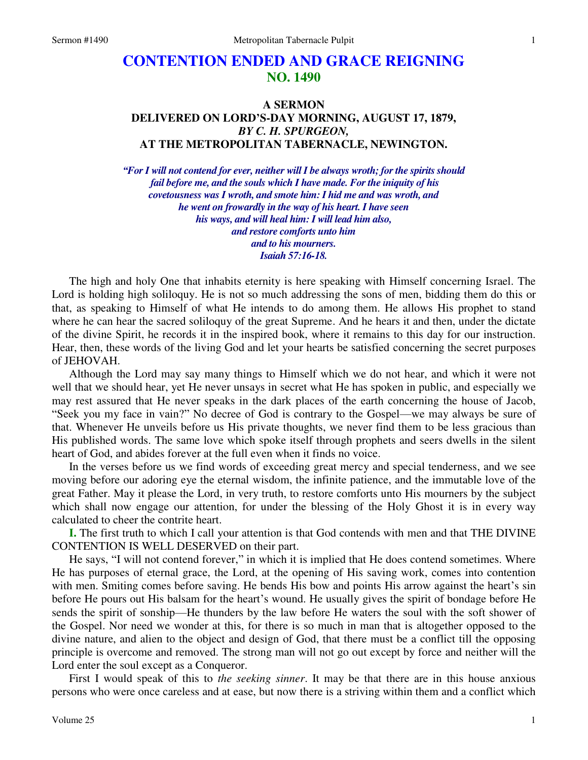## **CONTENTION ENDED AND GRACE REIGNING NO. 1490**

## **A SERMON DELIVERED ON LORD'S-DAY MORNING, AUGUST 17, 1879,**  *BY C. H. SPURGEON,*  **AT THE METROPOLITAN TABERNACLE, NEWINGTON.**

*"For I will not contend for ever, neither will I be always wroth; for the spirits should fail before me, and the souls which I have made. For the iniquity of his covetousness was I wroth, and smote him: I hid me and was wroth, and he went on frowardly in the way of his heart. I have seen his ways, and will heal him: I will lead him also, and restore comforts unto him and to his mourners. Isaiah 57:16-18.*

The high and holy One that inhabits eternity is here speaking with Himself concerning Israel. The Lord is holding high soliloquy. He is not so much addressing the sons of men, bidding them do this or that, as speaking to Himself of what He intends to do among them. He allows His prophet to stand where he can hear the sacred soliloquy of the great Supreme. And he hears it and then, under the dictate of the divine Spirit, he records it in the inspired book, where it remains to this day for our instruction. Hear, then, these words of the living God and let your hearts be satisfied concerning the secret purposes of JEHOVAH.

 Although the Lord may say many things to Himself which we do not hear, and which it were not well that we should hear, yet He never unsays in secret what He has spoken in public, and especially we may rest assured that He never speaks in the dark places of the earth concerning the house of Jacob, "Seek you my face in vain?" No decree of God is contrary to the Gospel—we may always be sure of that. Whenever He unveils before us His private thoughts, we never find them to be less gracious than His published words. The same love which spoke itself through prophets and seers dwells in the silent heart of God, and abides forever at the full even when it finds no voice.

 In the verses before us we find words of exceeding great mercy and special tenderness, and we see moving before our adoring eye the eternal wisdom, the infinite patience, and the immutable love of the great Father. May it please the Lord, in very truth, to restore comforts unto His mourners by the subject which shall now engage our attention, for under the blessing of the Holy Ghost it is in every way calculated to cheer the contrite heart.

**I.** The first truth to which I call your attention is that God contends with men and that THE DIVINE CONTENTION IS WELL DESERVED on their part.

 He says, "I will not contend forever," in which it is implied that He does contend sometimes. Where He has purposes of eternal grace, the Lord, at the opening of His saving work, comes into contention with men. Smiting comes before saving. He bends His bow and points His arrow against the heart's sin before He pours out His balsam for the heart's wound. He usually gives the spirit of bondage before He sends the spirit of sonship—He thunders by the law before He waters the soul with the soft shower of the Gospel. Nor need we wonder at this, for there is so much in man that is altogether opposed to the divine nature, and alien to the object and design of God, that there must be a conflict till the opposing principle is overcome and removed. The strong man will not go out except by force and neither will the Lord enter the soul except as a Conqueror.

 First I would speak of this to *the seeking sinner*. It may be that there are in this house anxious persons who were once careless and at ease, but now there is a striving within them and a conflict which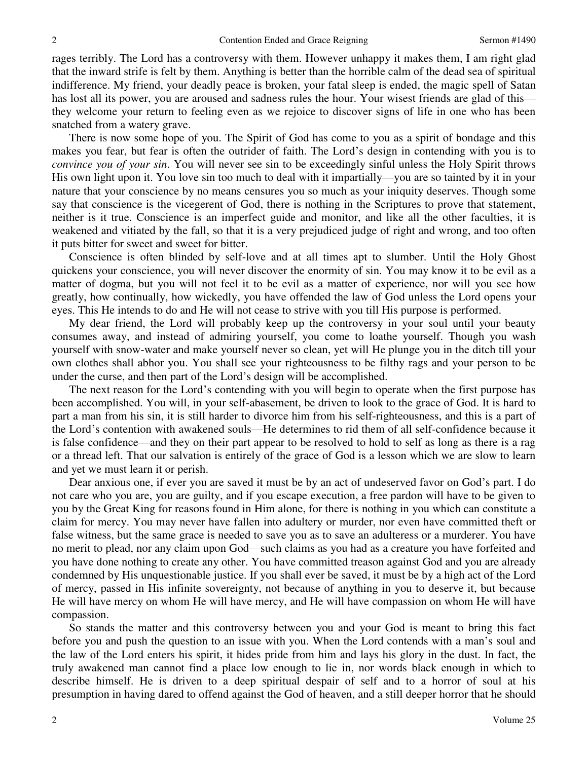rages terribly. The Lord has a controversy with them. However unhappy it makes them, I am right glad that the inward strife is felt by them. Anything is better than the horrible calm of the dead sea of spiritual indifference. My friend, your deadly peace is broken, your fatal sleep is ended, the magic spell of Satan has lost all its power, you are aroused and sadness rules the hour. Your wisest friends are glad of this they welcome your return to feeling even as we rejoice to discover signs of life in one who has been snatched from a watery grave.

 There is now some hope of you. The Spirit of God has come to you as a spirit of bondage and this makes you fear, but fear is often the outrider of faith. The Lord's design in contending with you is to *convince you of your sin*. You will never see sin to be exceedingly sinful unless the Holy Spirit throws His own light upon it. You love sin too much to deal with it impartially—you are so tainted by it in your nature that your conscience by no means censures you so much as your iniquity deserves. Though some say that conscience is the vicegerent of God, there is nothing in the Scriptures to prove that statement, neither is it true. Conscience is an imperfect guide and monitor, and like all the other faculties, it is weakened and vitiated by the fall, so that it is a very prejudiced judge of right and wrong, and too often it puts bitter for sweet and sweet for bitter.

 Conscience is often blinded by self-love and at all times apt to slumber. Until the Holy Ghost quickens your conscience, you will never discover the enormity of sin. You may know it to be evil as a matter of dogma, but you will not feel it to be evil as a matter of experience, nor will you see how greatly, how continually, how wickedly, you have offended the law of God unless the Lord opens your eyes. This He intends to do and He will not cease to strive with you till His purpose is performed.

 My dear friend, the Lord will probably keep up the controversy in your soul until your beauty consumes away, and instead of admiring yourself, you come to loathe yourself. Though you wash yourself with snow-water and make yourself never so clean, yet will He plunge you in the ditch till your own clothes shall abhor you. You shall see your righteousness to be filthy rags and your person to be under the curse, and then part of the Lord's design will be accomplished.

 The next reason for the Lord's contending with you will begin to operate when the first purpose has been accomplished. You will, in your self-abasement, be driven to look to the grace of God. It is hard to part a man from his sin, it is still harder to divorce him from his self-righteousness, and this is a part of the Lord's contention with awakened souls—He determines to rid them of all self-confidence because it is false confidence—and they on their part appear to be resolved to hold to self as long as there is a rag or a thread left. That our salvation is entirely of the grace of God is a lesson which we are slow to learn and yet we must learn it or perish.

 Dear anxious one, if ever you are saved it must be by an act of undeserved favor on God's part. I do not care who you are, you are guilty, and if you escape execution, a free pardon will have to be given to you by the Great King for reasons found in Him alone, for there is nothing in you which can constitute a claim for mercy. You may never have fallen into adultery or murder, nor even have committed theft or false witness, but the same grace is needed to save you as to save an adulteress or a murderer. You have no merit to plead, nor any claim upon God—such claims as you had as a creature you have forfeited and you have done nothing to create any other. You have committed treason against God and you are already condemned by His unquestionable justice. If you shall ever be saved, it must be by a high act of the Lord of mercy, passed in His infinite sovereignty, not because of anything in you to deserve it, but because He will have mercy on whom He will have mercy, and He will have compassion on whom He will have compassion.

 So stands the matter and this controversy between you and your God is meant to bring this fact before you and push the question to an issue with you. When the Lord contends with a man's soul and the law of the Lord enters his spirit, it hides pride from him and lays his glory in the dust. In fact, the truly awakened man cannot find a place low enough to lie in, nor words black enough in which to describe himself. He is driven to a deep spiritual despair of self and to a horror of soul at his presumption in having dared to offend against the God of heaven, and a still deeper horror that he should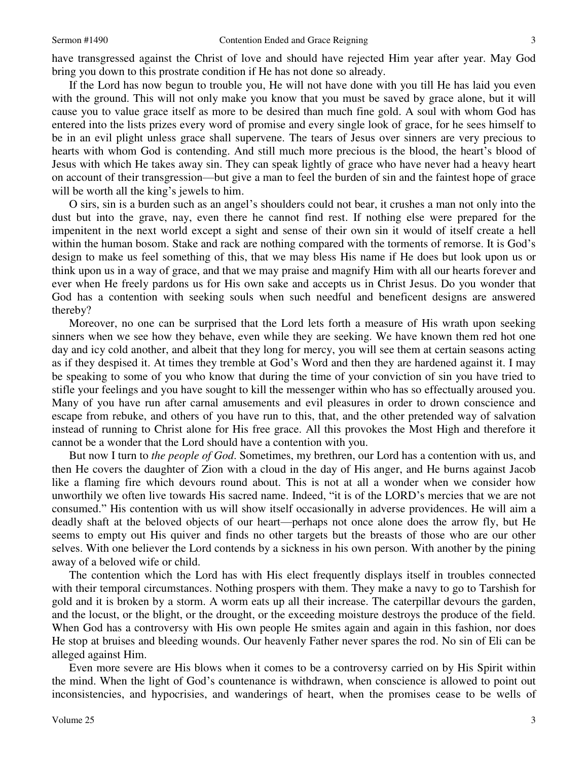have transgressed against the Christ of love and should have rejected Him year after year. May God bring you down to this prostrate condition if He has not done so already.

 If the Lord has now begun to trouble you, He will not have done with you till He has laid you even with the ground. This will not only make you know that you must be saved by grace alone, but it will cause you to value grace itself as more to be desired than much fine gold. A soul with whom God has entered into the lists prizes every word of promise and every single look of grace, for he sees himself to be in an evil plight unless grace shall supervene. The tears of Jesus over sinners are very precious to hearts with whom God is contending. And still much more precious is the blood, the heart's blood of Jesus with which He takes away sin. They can speak lightly of grace who have never had a heavy heart on account of their transgression—but give a man to feel the burden of sin and the faintest hope of grace will be worth all the king's jewels to him.

O sirs, sin is a burden such as an angel's shoulders could not bear, it crushes a man not only into the dust but into the grave, nay, even there he cannot find rest. If nothing else were prepared for the impenitent in the next world except a sight and sense of their own sin it would of itself create a hell within the human bosom. Stake and rack are nothing compared with the torments of remorse. It is God's design to make us feel something of this, that we may bless His name if He does but look upon us or think upon us in a way of grace, and that we may praise and magnify Him with all our hearts forever and ever when He freely pardons us for His own sake and accepts us in Christ Jesus. Do you wonder that God has a contention with seeking souls when such needful and beneficent designs are answered thereby?

 Moreover, no one can be surprised that the Lord lets forth a measure of His wrath upon seeking sinners when we see how they behave, even while they are seeking. We have known them red hot one day and icy cold another, and albeit that they long for mercy, you will see them at certain seasons acting as if they despised it. At times they tremble at God's Word and then they are hardened against it. I may be speaking to some of you who know that during the time of your conviction of sin you have tried to stifle your feelings and you have sought to kill the messenger within who has so effectually aroused you. Many of you have run after carnal amusements and evil pleasures in order to drown conscience and escape from rebuke, and others of you have run to this, that, and the other pretended way of salvation instead of running to Christ alone for His free grace. All this provokes the Most High and therefore it cannot be a wonder that the Lord should have a contention with you.

 But now I turn to *the people of God*. Sometimes, my brethren, our Lord has a contention with us, and then He covers the daughter of Zion with a cloud in the day of His anger, and He burns against Jacob like a flaming fire which devours round about. This is not at all a wonder when we consider how unworthily we often live towards His sacred name. Indeed, "it is of the LORD's mercies that we are not consumed." His contention with us will show itself occasionally in adverse providences. He will aim a deadly shaft at the beloved objects of our heart—perhaps not once alone does the arrow fly, but He seems to empty out His quiver and finds no other targets but the breasts of those who are our other selves. With one believer the Lord contends by a sickness in his own person. With another by the pining away of a beloved wife or child.

 The contention which the Lord has with His elect frequently displays itself in troubles connected with their temporal circumstances. Nothing prospers with them. They make a navy to go to Tarshish for gold and it is broken by a storm. A worm eats up all their increase. The caterpillar devours the garden, and the locust, or the blight, or the drought, or the exceeding moisture destroys the produce of the field. When God has a controversy with His own people He smites again and again in this fashion, nor does He stop at bruises and bleeding wounds. Our heavenly Father never spares the rod. No sin of Eli can be alleged against Him.

 Even more severe are His blows when it comes to be a controversy carried on by His Spirit within the mind. When the light of God's countenance is withdrawn, when conscience is allowed to point out inconsistencies, and hypocrisies, and wanderings of heart, when the promises cease to be wells of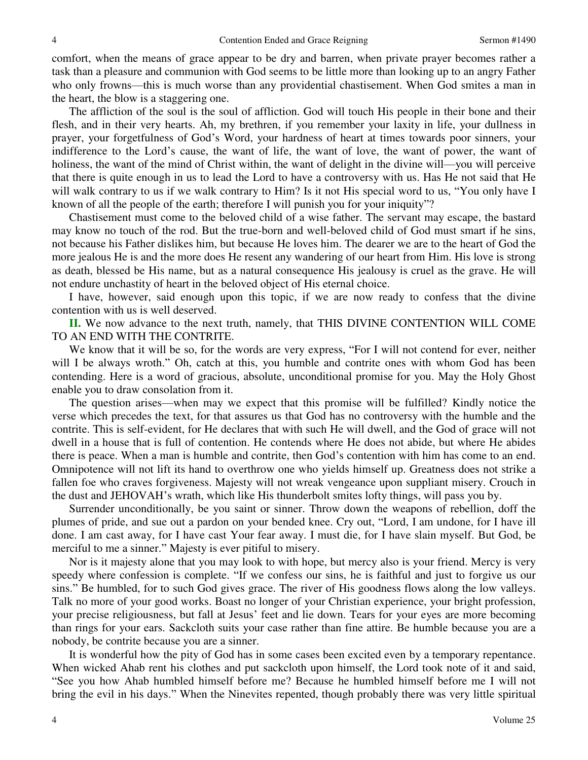comfort, when the means of grace appear to be dry and barren, when private prayer becomes rather a task than a pleasure and communion with God seems to be little more than looking up to an angry Father who only frowns—this is much worse than any providential chastisement. When God smites a man in the heart, the blow is a staggering one.

 The affliction of the soul is the soul of affliction. God will touch His people in their bone and their flesh, and in their very hearts. Ah, my brethren, if you remember your laxity in life, your dullness in prayer, your forgetfulness of God's Word, your hardness of heart at times towards poor sinners, your indifference to the Lord's cause, the want of life, the want of love, the want of power, the want of holiness, the want of the mind of Christ within, the want of delight in the divine will—you will perceive that there is quite enough in us to lead the Lord to have a controversy with us. Has He not said that He will walk contrary to us if we walk contrary to Him? Is it not His special word to us, "You only have I known of all the people of the earth; therefore I will punish you for your iniquity"?

 Chastisement must come to the beloved child of a wise father. The servant may escape, the bastard may know no touch of the rod. But the true-born and well-beloved child of God must smart if he sins, not because his Father dislikes him, but because He loves him. The dearer we are to the heart of God the more jealous He is and the more does He resent any wandering of our heart from Him. His love is strong as death, blessed be His name, but as a natural consequence His jealousy is cruel as the grave. He will not endure unchastity of heart in the beloved object of His eternal choice.

 I have, however, said enough upon this topic, if we are now ready to confess that the divine contention with us is well deserved.

**II.** We now advance to the next truth, namely, that THIS DIVINE CONTENTION WILL COME TO AN END WITH THE CONTRITE.

We know that it will be so, for the words are very express, "For I will not contend for ever, neither will I be always wroth." Oh, catch at this, you humble and contrite ones with whom God has been contending. Here is a word of gracious, absolute, unconditional promise for you. May the Holy Ghost enable you to draw consolation from it.

 The question arises—when may we expect that this promise will be fulfilled? Kindly notice the verse which precedes the text, for that assures us that God has no controversy with the humble and the contrite. This is self-evident, for He declares that with such He will dwell, and the God of grace will not dwell in a house that is full of contention. He contends where He does not abide, but where He abides there is peace. When a man is humble and contrite, then God's contention with him has come to an end. Omnipotence will not lift its hand to overthrow one who yields himself up. Greatness does not strike a fallen foe who craves forgiveness. Majesty will not wreak vengeance upon suppliant misery. Crouch in the dust and JEHOVAH's wrath, which like His thunderbolt smites lofty things, will pass you by.

 Surrender unconditionally, be you saint or sinner. Throw down the weapons of rebellion, doff the plumes of pride, and sue out a pardon on your bended knee. Cry out, "Lord, I am undone, for I have ill done. I am cast away, for I have cast Your fear away. I must die, for I have slain myself. But God, be merciful to me a sinner." Majesty is ever pitiful to misery.

 Nor is it majesty alone that you may look to with hope, but mercy also is your friend. Mercy is very speedy where confession is complete. "If we confess our sins, he is faithful and just to forgive us our sins." Be humbled, for to such God gives grace. The river of His goodness flows along the low valleys. Talk no more of your good works. Boast no longer of your Christian experience, your bright profession, your precise religiousness, but fall at Jesus' feet and lie down. Tears for your eyes are more becoming than rings for your ears. Sackcloth suits your case rather than fine attire. Be humble because you are a nobody, be contrite because you are a sinner.

 It is wonderful how the pity of God has in some cases been excited even by a temporary repentance. When wicked Ahab rent his clothes and put sackcloth upon himself, the Lord took note of it and said, "See you how Ahab humbled himself before me? Because he humbled himself before me I will not bring the evil in his days." When the Ninevites repented, though probably there was very little spiritual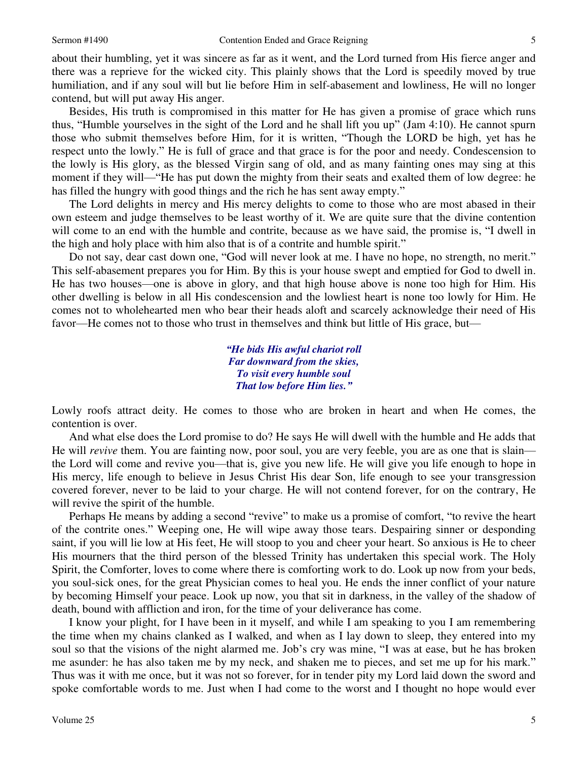about their humbling, yet it was sincere as far as it went, and the Lord turned from His fierce anger and there was a reprieve for the wicked city. This plainly shows that the Lord is speedily moved by true humiliation, and if any soul will but lie before Him in self-abasement and lowliness, He will no longer contend, but will put away His anger.

 Besides, His truth is compromised in this matter for He has given a promise of grace which runs thus, "Humble yourselves in the sight of the Lord and he shall lift you up" (Jam 4:10). He cannot spurn those who submit themselves before Him, for it is written, "Though the LORD be high, yet has he respect unto the lowly." He is full of grace and that grace is for the poor and needy. Condescension to the lowly is His glory, as the blessed Virgin sang of old, and as many fainting ones may sing at this moment if they will—"He has put down the mighty from their seats and exalted them of low degree: he has filled the hungry with good things and the rich he has sent away empty."

 The Lord delights in mercy and His mercy delights to come to those who are most abased in their own esteem and judge themselves to be least worthy of it. We are quite sure that the divine contention will come to an end with the humble and contrite, because as we have said, the promise is, "I dwell in the high and holy place with him also that is of a contrite and humble spirit."

 Do not say, dear cast down one, "God will never look at me. I have no hope, no strength, no merit." This self-abasement prepares you for Him. By this is your house swept and emptied for God to dwell in. He has two houses—one is above in glory, and that high house above is none too high for Him. His other dwelling is below in all His condescension and the lowliest heart is none too lowly for Him. He comes not to wholehearted men who bear their heads aloft and scarcely acknowledge their need of His favor—He comes not to those who trust in themselves and think but little of His grace, but—

> *"He bids His awful chariot roll Far downward from the skies, To visit every humble soul That low before Him lies."*

Lowly roofs attract deity. He comes to those who are broken in heart and when He comes, the contention is over.

 And what else does the Lord promise to do? He says He will dwell with the humble and He adds that He will *revive* them. You are fainting now, poor soul, you are very feeble, you are as one that is slain the Lord will come and revive you—that is, give you new life. He will give you life enough to hope in His mercy, life enough to believe in Jesus Christ His dear Son, life enough to see your transgression covered forever, never to be laid to your charge. He will not contend forever, for on the contrary, He will revive the spirit of the humble.

 Perhaps He means by adding a second "revive" to make us a promise of comfort, "to revive the heart of the contrite ones." Weeping one, He will wipe away those tears. Despairing sinner or desponding saint, if you will lie low at His feet, He will stoop to you and cheer your heart. So anxious is He to cheer His mourners that the third person of the blessed Trinity has undertaken this special work. The Holy Spirit, the Comforter, loves to come where there is comforting work to do. Look up now from your beds, you soul-sick ones, for the great Physician comes to heal you. He ends the inner conflict of your nature by becoming Himself your peace. Look up now, you that sit in darkness, in the valley of the shadow of death, bound with affliction and iron, for the time of your deliverance has come.

 I know your plight, for I have been in it myself, and while I am speaking to you I am remembering the time when my chains clanked as I walked, and when as I lay down to sleep, they entered into my soul so that the visions of the night alarmed me. Job's cry was mine, "I was at ease, but he has broken me asunder: he has also taken me by my neck, and shaken me to pieces, and set me up for his mark." Thus was it with me once, but it was not so forever, for in tender pity my Lord laid down the sword and spoke comfortable words to me. Just when I had come to the worst and I thought no hope would ever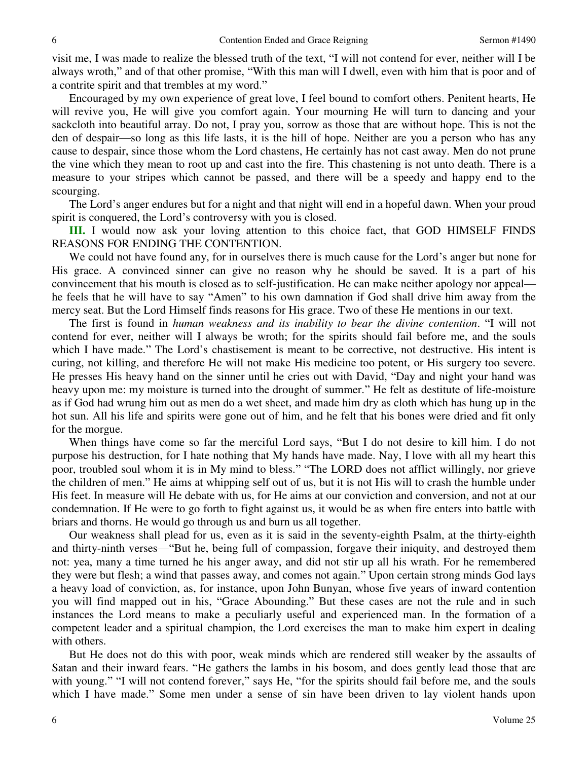visit me, I was made to realize the blessed truth of the text, "I will not contend for ever, neither will I be always wroth," and of that other promise, "With this man will I dwell, even with him that is poor and of a contrite spirit and that trembles at my word."

 Encouraged by my own experience of great love, I feel bound to comfort others. Penitent hearts, He will revive you, He will give you comfort again. Your mourning He will turn to dancing and your sackcloth into beautiful array. Do not, I pray you, sorrow as those that are without hope. This is not the den of despair—so long as this life lasts, it is the hill of hope. Neither are you a person who has any cause to despair, since those whom the Lord chastens, He certainly has not cast away. Men do not prune the vine which they mean to root up and cast into the fire. This chastening is not unto death. There is a measure to your stripes which cannot be passed, and there will be a speedy and happy end to the scourging.

 The Lord's anger endures but for a night and that night will end in a hopeful dawn. When your proud spirit is conquered, the Lord's controversy with you is closed.

**III.** I would now ask your loving attention to this choice fact, that GOD HIMSELF FINDS REASONS FOR ENDING THE CONTENTION.

 We could not have found any, for in ourselves there is much cause for the Lord's anger but none for His grace. A convinced sinner can give no reason why he should be saved. It is a part of his convincement that his mouth is closed as to self-justification. He can make neither apology nor appeal he feels that he will have to say "Amen" to his own damnation if God shall drive him away from the mercy seat. But the Lord Himself finds reasons for His grace. Two of these He mentions in our text.

 The first is found in *human weakness and its inability to bear the divine contention*. "I will not contend for ever, neither will I always be wroth; for the spirits should fail before me, and the souls which I have made." The Lord's chastisement is meant to be corrective, not destructive. His intent is curing, not killing, and therefore He will not make His medicine too potent, or His surgery too severe. He presses His heavy hand on the sinner until he cries out with David, "Day and night your hand was heavy upon me: my moisture is turned into the drought of summer." He felt as destitute of life-moisture as if God had wrung him out as men do a wet sheet, and made him dry as cloth which has hung up in the hot sun. All his life and spirits were gone out of him, and he felt that his bones were dried and fit only for the morgue.

 When things have come so far the merciful Lord says, "But I do not desire to kill him. I do not purpose his destruction, for I hate nothing that My hands have made. Nay, I love with all my heart this poor, troubled soul whom it is in My mind to bless." "The LORD does not afflict willingly, nor grieve the children of men." He aims at whipping self out of us, but it is not His will to crash the humble under His feet. In measure will He debate with us, for He aims at our conviction and conversion, and not at our condemnation. If He were to go forth to fight against us, it would be as when fire enters into battle with briars and thorns. He would go through us and burn us all together.

 Our weakness shall plead for us, even as it is said in the seventy-eighth Psalm, at the thirty-eighth and thirty-ninth verses—"But he, being full of compassion, forgave their iniquity, and destroyed them not: yea, many a time turned he his anger away, and did not stir up all his wrath. For he remembered they were but flesh; a wind that passes away, and comes not again." Upon certain strong minds God lays a heavy load of conviction, as, for instance, upon John Bunyan, whose five years of inward contention you will find mapped out in his, "Grace Abounding." But these cases are not the rule and in such instances the Lord means to make a peculiarly useful and experienced man. In the formation of a competent leader and a spiritual champion, the Lord exercises the man to make him expert in dealing with others.

 But He does not do this with poor, weak minds which are rendered still weaker by the assaults of Satan and their inward fears. "He gathers the lambs in his bosom, and does gently lead those that are with young." "I will not contend forever," says He, "for the spirits should fail before me, and the souls which I have made." Some men under a sense of sin have been driven to lay violent hands upon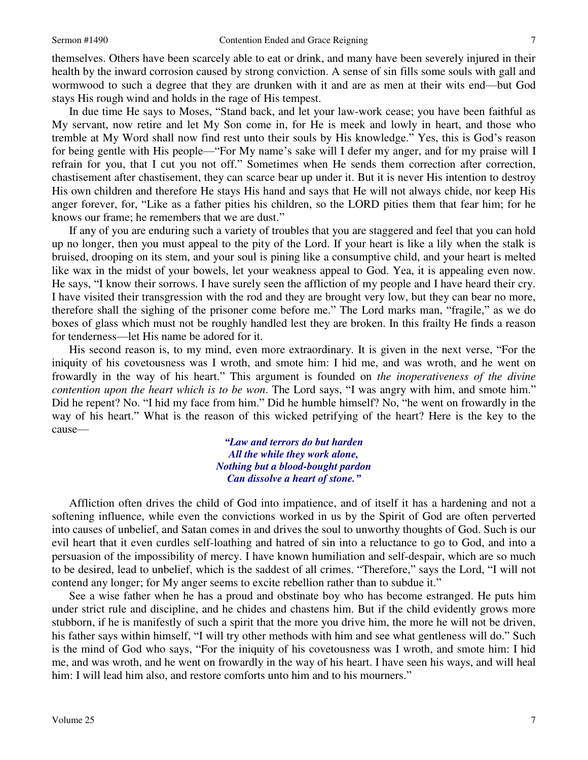themselves. Others have been scarcely able to eat or drink, and many have been severely injured in their health by the inward corrosion caused by strong conviction. A sense of sin fills some souls with gall and wormwood to such a degree that they are drunken with it and are as men at their wits end—but God stays His rough wind and holds in the rage of His tempest.

 In due time He says to Moses, "Stand back, and let your law-work cease; you have been faithful as My servant, now retire and let My Son come in, for He is meek and lowly in heart, and those who tremble at My Word shall now find rest unto their souls by His knowledge." Yes, this is God's reason for being gentle with His people—"For My name's sake will I defer my anger, and for my praise will I refrain for you, that I cut you not off." Sometimes when He sends them correction after correction, chastisement after chastisement, they can scarce bear up under it. But it is never His intention to destroy His own children and therefore He stays His hand and says that He will not always chide, nor keep His anger forever, for, "Like as a father pities his children, so the LORD pities them that fear him; for he knows our frame; he remembers that we are dust."

 If any of you are enduring such a variety of troubles that you are staggered and feel that you can hold up no longer, then you must appeal to the pity of the Lord. If your heart is like a lily when the stalk is bruised, drooping on its stem, and your soul is pining like a consumptive child, and your heart is melted like wax in the midst of your bowels, let your weakness appeal to God. Yea, it is appealing even now. He says, "I know their sorrows. I have surely seen the affliction of my people and I have heard their cry. I have visited their transgression with the rod and they are brought very low, but they can bear no more, therefore shall the sighing of the prisoner come before me." The Lord marks man, "fragile," as we do boxes of glass which must not be roughly handled lest they are broken. In this frailty He finds a reason for tenderness—let His name be adored for it.

 His second reason is, to my mind, even more extraordinary. It is given in the next verse, "For the iniquity of his covetousness was I wroth, and smote him: I hid me, and was wroth, and he went on frowardly in the way of his heart." This argument is founded on *the inoperativeness of the divine contention upon the heart which is to be won*. The Lord says, "I was angry with him, and smote him." Did he repent? No. "I hid my face from him." Did he humble himself? No, "he went on frowardly in the way of his heart." What is the reason of this wicked petrifying of the heart? Here is the key to the cause—

> *"Law and terrors do but harden All the while they work alone, Nothing but a blood-bought pardon Can dissolve a heart of stone."*

Affliction often drives the child of God into impatience, and of itself it has a hardening and not a softening influence, while even the convictions worked in us by the Spirit of God are often perverted into causes of unbelief, and Satan comes in and drives the soul to unworthy thoughts of God. Such is our evil heart that it even curdles self-loathing and hatred of sin into a reluctance to go to God, and into a persuasion of the impossibility of mercy. I have known humiliation and self-despair, which are so much to be desired, lead to unbelief, which is the saddest of all crimes. "Therefore," says the Lord, "I will not contend any longer; for My anger seems to excite rebellion rather than to subdue it."

 See a wise father when he has a proud and obstinate boy who has become estranged. He puts him under strict rule and discipline, and he chides and chastens him. But if the child evidently grows more stubborn, if he is manifestly of such a spirit that the more you drive him, the more he will not be driven, his father says within himself, "I will try other methods with him and see what gentleness will do." Such is the mind of God who says, "For the iniquity of his covetousness was I wroth, and smote him: I hid me, and was wroth, and he went on frowardly in the way of his heart. I have seen his ways, and will heal him: I will lead him also, and restore comforts unto him and to his mourners."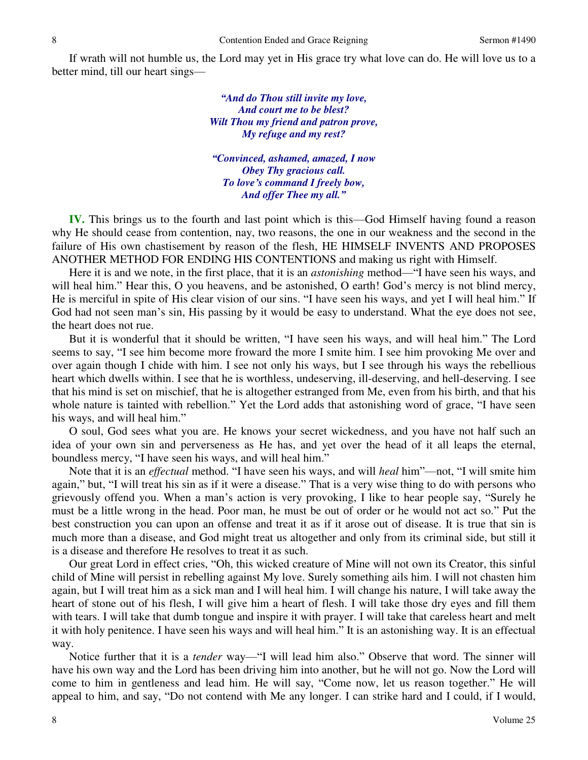If wrath will not humble us, the Lord may yet in His grace try what love can do. He will love us to a better mind, till our heart sings—

> *"And do Thou still invite my love, And court me to be blest? Wilt Thou my friend and patron prove, My refuge and my rest?*

*"Convinced, ashamed, amazed, I now Obey Thy gracious call. To love's command I freely bow, And offer Thee my all."*

**IV.** This brings us to the fourth and last point which is this—God Himself having found a reason why He should cease from contention, nay, two reasons, the one in our weakness and the second in the failure of His own chastisement by reason of the flesh, HE HIMSELF INVENTS AND PROPOSES ANOTHER METHOD FOR ENDING HIS CONTENTIONS and making us right with Himself.

 Here it is and we note, in the first place, that it is an *astonishing* method—"I have seen his ways, and will heal him." Hear this, O you heavens, and be astonished, O earth! God's mercy is not blind mercy, He is merciful in spite of His clear vision of our sins. "I have seen his ways, and yet I will heal him." If God had not seen man's sin, His passing by it would be easy to understand. What the eye does not see, the heart does not rue.

 But it is wonderful that it should be written, "I have seen his ways, and will heal him." The Lord seems to say, "I see him become more froward the more I smite him. I see him provoking Me over and over again though I chide with him. I see not only his ways, but I see through his ways the rebellious heart which dwells within. I see that he is worthless, undeserving, ill-deserving, and hell-deserving. I see that his mind is set on mischief, that he is altogether estranged from Me, even from his birth, and that his whole nature is tainted with rebellion." Yet the Lord adds that astonishing word of grace, "I have seen his ways, and will heal him."

 O soul, God sees what you are. He knows your secret wickedness, and you have not half such an idea of your own sin and perverseness as He has, and yet over the head of it all leaps the eternal, boundless mercy, "I have seen his ways, and will heal him."

 Note that it is an *effectual* method. "I have seen his ways, and will *heal* him"—not, "I will smite him again," but, "I will treat his sin as if it were a disease." That is a very wise thing to do with persons who grievously offend you. When a man's action is very provoking, I like to hear people say, "Surely he must be a little wrong in the head. Poor man, he must be out of order or he would not act so." Put the best construction you can upon an offense and treat it as if it arose out of disease. It is true that sin is much more than a disease, and God might treat us altogether and only from its criminal side, but still it is a disease and therefore He resolves to treat it as such.

 Our great Lord in effect cries, "Oh, this wicked creature of Mine will not own its Creator, this sinful child of Mine will persist in rebelling against My love. Surely something ails him. I will not chasten him again, but I will treat him as a sick man and I will heal him. I will change his nature, I will take away the heart of stone out of his flesh, I will give him a heart of flesh. I will take those dry eyes and fill them with tears. I will take that dumb tongue and inspire it with prayer. I will take that careless heart and melt it with holy penitence. I have seen his ways and will heal him." It is an astonishing way. It is an effectual way.

 Notice further that it is a *tender* way—"I will lead him also." Observe that word. The sinner will have his own way and the Lord has been driving him into another, but he will not go. Now the Lord will come to him in gentleness and lead him. He will say, "Come now, let us reason together." He will appeal to him, and say, "Do not contend with Me any longer. I can strike hard and I could, if I would,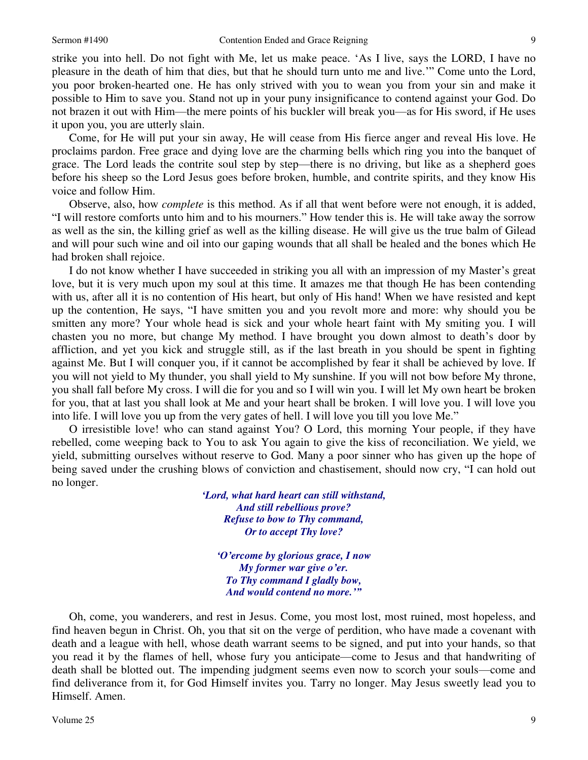strike you into hell. Do not fight with Me, let us make peace. 'As I live, says the LORD, I have no pleasure in the death of him that dies, but that he should turn unto me and live.'" Come unto the Lord, you poor broken-hearted one. He has only strived with you to wean you from your sin and make it possible to Him to save you. Stand not up in your puny insignificance to contend against your God. Do not brazen it out with Him—the mere points of his buckler will break you—as for His sword, if He uses it upon you, you are utterly slain.

 Come, for He will put your sin away, He will cease from His fierce anger and reveal His love. He proclaims pardon. Free grace and dying love are the charming bells which ring you into the banquet of grace. The Lord leads the contrite soul step by step—there is no driving, but like as a shepherd goes before his sheep so the Lord Jesus goes before broken, humble, and contrite spirits, and they know His voice and follow Him.

 Observe, also, how *complete* is this method. As if all that went before were not enough, it is added, "I will restore comforts unto him and to his mourners." How tender this is. He will take away the sorrow as well as the sin, the killing grief as well as the killing disease. He will give us the true balm of Gilead and will pour such wine and oil into our gaping wounds that all shall be healed and the bones which He had broken shall rejoice.

 I do not know whether I have succeeded in striking you all with an impression of my Master's great love, but it is very much upon my soul at this time. It amazes me that though He has been contending with us, after all it is no contention of His heart, but only of His hand! When we have resisted and kept up the contention, He says, "I have smitten you and you revolt more and more: why should you be smitten any more? Your whole head is sick and your whole heart faint with My smiting you. I will chasten you no more, but change My method. I have brought you down almost to death's door by affliction, and yet you kick and struggle still, as if the last breath in you should be spent in fighting against Me. But I will conquer you, if it cannot be accomplished by fear it shall be achieved by love. If you will not yield to My thunder, you shall yield to My sunshine. If you will not bow before My throne, you shall fall before My cross. I will die for you and so I will win you. I will let My own heart be broken for you, that at last you shall look at Me and your heart shall be broken. I will love you. I will love you into life. I will love you up from the very gates of hell. I will love you till you love Me."

 O irresistible love! who can stand against You? O Lord, this morning Your people, if they have rebelled, come weeping back to You to ask You again to give the kiss of reconciliation. We yield, we yield, submitting ourselves without reserve to God. Many a poor sinner who has given up the hope of being saved under the crushing blows of conviction and chastisement, should now cry, "I can hold out no longer.

> *'Lord, what hard heart can still withstand, And still rebellious prove? Refuse to bow to Thy command, Or to accept Thy love?*

*'O'ercome by glorious grace, I now My former war give o'er. To Thy command I gladly bow, And would contend no more.'"*

Oh, come, you wanderers, and rest in Jesus. Come, you most lost, most ruined, most hopeless, and find heaven begun in Christ. Oh, you that sit on the verge of perdition, who have made a covenant with death and a league with hell, whose death warrant seems to be signed, and put into your hands, so that you read it by the flames of hell, whose fury you anticipate—come to Jesus and that handwriting of death shall be blotted out. The impending judgment seems even now to scorch your souls—come and find deliverance from it, for God Himself invites you. Tarry no longer. May Jesus sweetly lead you to Himself. Amen.

9